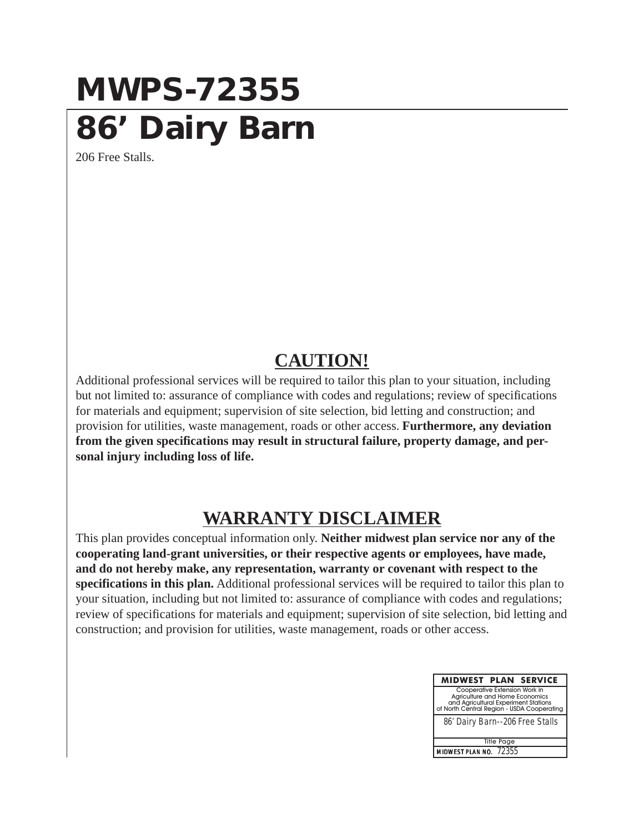## **MWPS-72355 86' Dairy Barn**

206 Free Stalls.

## **CAUTION!**

Additional professional services will be required to tailor this plan to your situation, including but not limited to: assurance of compliance with codes and regulations; review of specifications for materials and equipment; supervision of site selection, bid letting and construction; and provision for utilities, waste management, roads or other access. **Furthermore, any deviation from the given specifications may result in structural failure, property damage, and personal injury including loss of life.**

## **WARRANTY DISCLAIMER**

This plan provides conceptual information only. **Neither midwest plan service nor any of the cooperating land-grant universities, or their respective agents or employees, have made, and do not hereby make, any representation, warranty or covenant with respect to the specifications in this plan.** Additional professional services will be required to tailor this plan to your situation, including but not limited to: assurance of compliance with codes and regulations; review of specifications for materials and equipment; supervision of site selection, bid letting and construction; and provision for utilities, waste management, roads or other access.

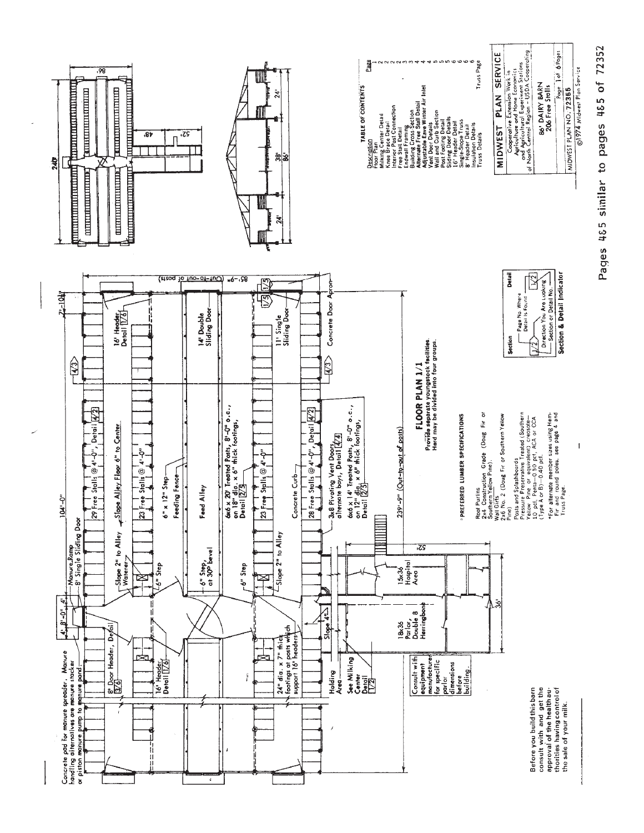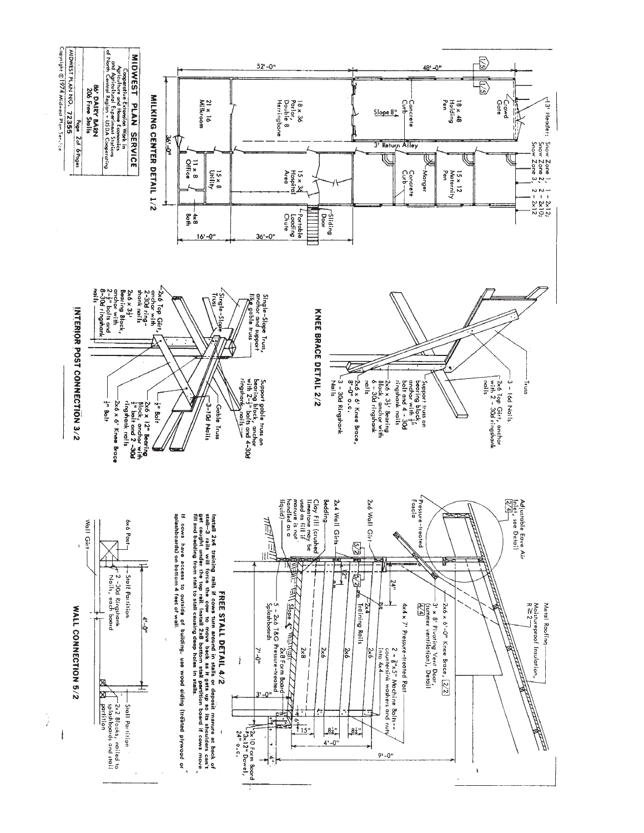

 $\frac{1}{\sqrt{2}}$ 

 $\lambda$ 

 $\frac{1}{2}$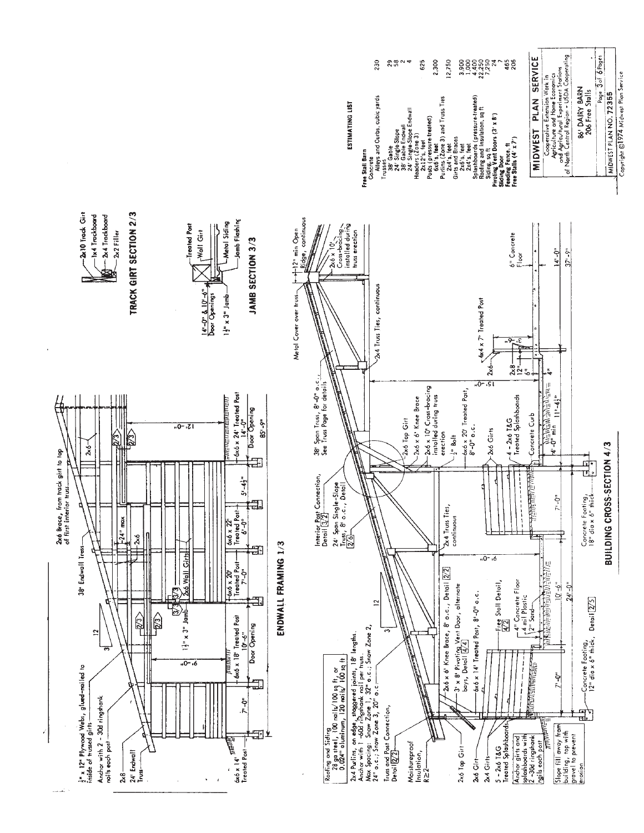

ESTIMATING LIST

Cooperative Extension Work in<br>Apticulture and Home Economics<br>of North Central Region – USDA Cooperating<br>of North Central Region – USDA Cooperating MIDWEST PLAN SERVICE 2,300 12,750 114317<br>00000004<br>00000000 230  $8804$ 625 465<br>206 Posts (pressure treated)<br>Pu65 s, feet<br>Pu65 s, feet<br>2,44's, feet 3) and Truss Ties<br>Giracles<br>Spaces and maulation, sq ft<br>Spaceme and Insulation, sq ft<br>Rodine and Insulation, sq ft Concrete<br>Alleys and Curbs, cubic yards Siding, sq ft<br>Pivoting Vent Doors (3' x 8')<br>Silding Door Feeding Fence, ft<br>Free Stalls (4' x 7')

Page 3of 6 Pages

86' DAIRY BARN

206 Free Stalls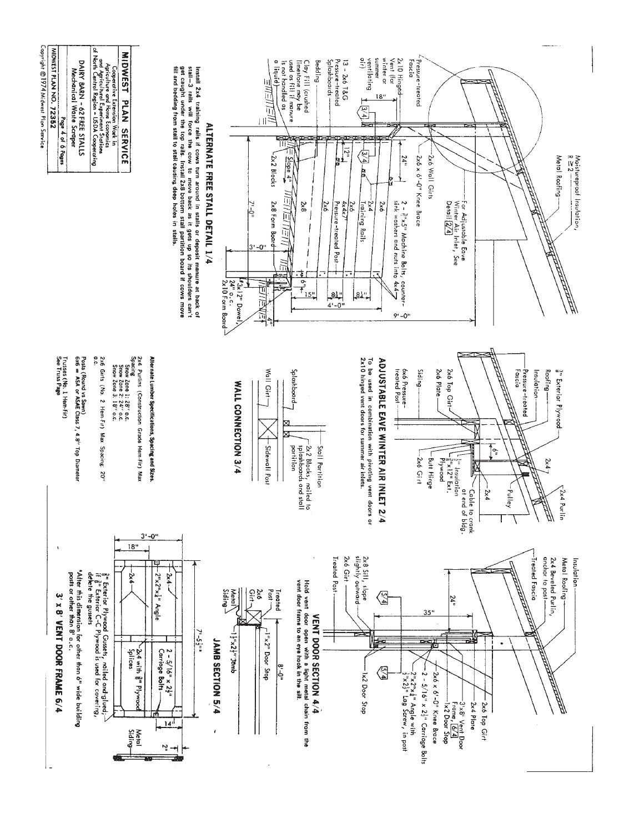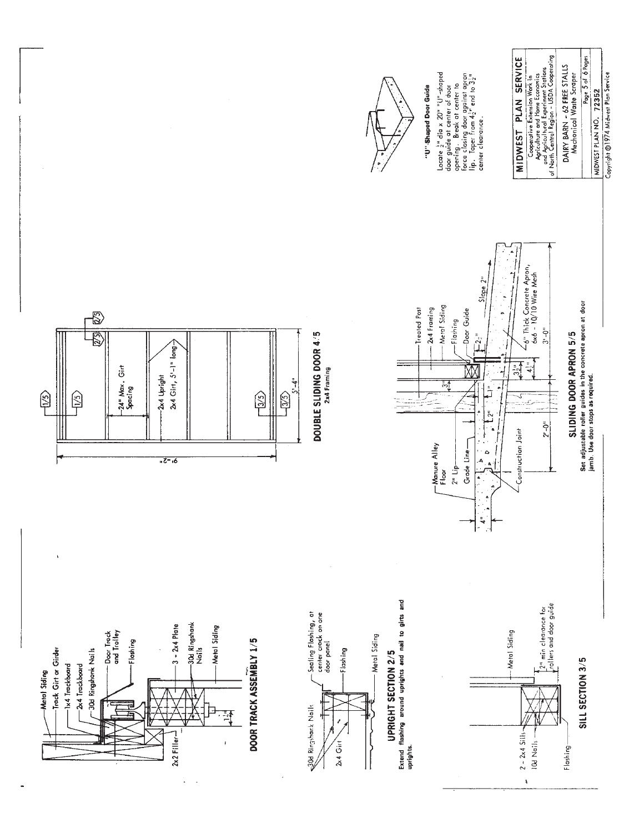